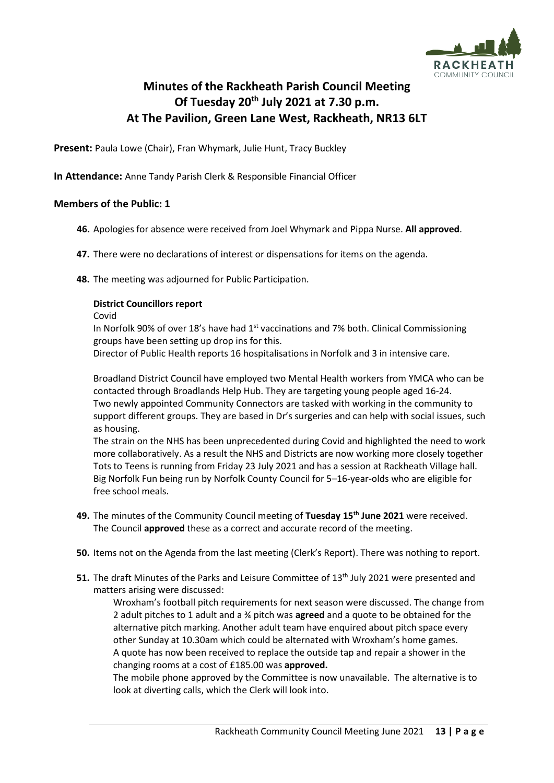

# **Minutes of the Rackheath Parish Council Meeting Of Tuesday 20th July 2021 at 7.30 p.m. At The Pavilion, Green Lane West, Rackheath, NR13 6LT**

**Present: Paula Lowe (Chair), Fran Whymark, Julie Hunt, Tracy Buckley** 

**In Attendance:** Anne Tandy Parish Clerk & Responsible Financial Officer

# **Members of the Public: 1**

- **46.** Apologies for absence were received from Joel Whymark and Pippa Nurse. **All approved**.
- **47.** There were no declarations of interest or dispensations for items on the agenda.
- **48.** The meeting was adjourned for Public Participation.

# **District Councillors report**

Covid

In Norfolk 90% of over 18's have had  $1<sup>st</sup>$  vaccinations and 7% both. Clinical Commissioning groups have been setting up drop ins for this.

Director of Public Health reports 16 hospitalisations in Norfolk and 3 in intensive care.

Broadland District Council have employed two Mental Health workers from YMCA who can be contacted through Broadlands Help Hub. They are targeting young people aged 16-24. Two newly appointed Community Connectors are tasked with working in the community to support different groups. They are based in Dr's surgeries and can help with social issues, such as housing.

The strain on the NHS has been unprecedented during Covid and highlighted the need to work more collaboratively. As a result the NHS and Districts are now working more closely together Tots to Teens is running from Friday 23 July 2021 and has a session at Rackheath Village hall. Big Norfolk Fun being run by Norfolk County Council for 5–16-year-olds who are eligible for free school meals.

- **49.** The minutes of the Community Council meeting of **Tuesday 15th June 2021** were received. The Council **approved** these as a correct and accurate record of the meeting.
- **50.** Items not on the Agenda from the last meeting (Clerk's Report). There was nothing to report.
- 51. The draft Minutes of the Parks and Leisure Committee of 13<sup>th</sup> July 2021 were presented and matters arising were discussed:

Wroxham's football pitch requirements for next season were discussed. The change from 2 adult pitches to 1 adult and a ¾ pitch was **agreed** and a quote to be obtained for the alternative pitch marking. Another adult team have enquired about pitch space every other Sunday at 10.30am which could be alternated with Wroxham's home games. A quote has now been received to replace the outside tap and repair a shower in the changing rooms at a cost of £185.00 was **approved.**

The mobile phone approved by the Committee is now unavailable. The alternative is to look at diverting calls, which the Clerk will look into.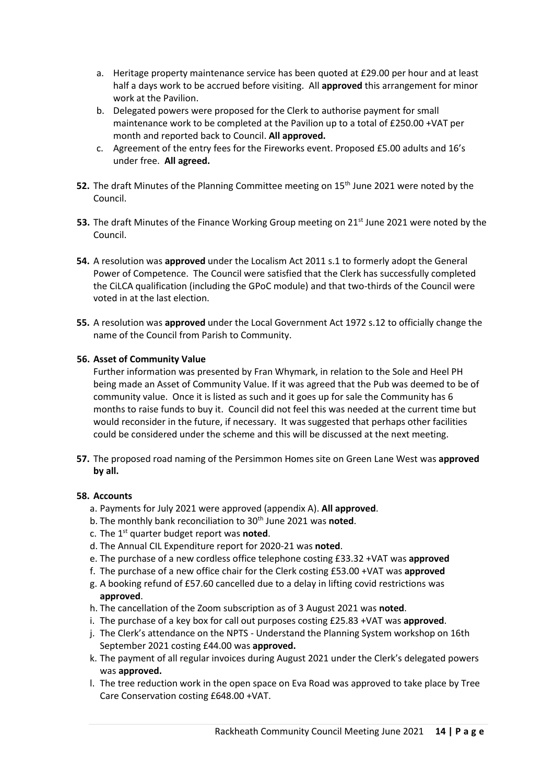- a. Heritage property maintenance service has been quoted at £29.00 per hour and at least half a days work to be accrued before visiting. All **approved** this arrangement for minor work at the Pavilion.
- b. Delegated powers were proposed for the Clerk to authorise payment for small maintenance work to be completed at the Pavilion up to a total of £250.00 +VAT per month and reported back to Council. **All approved.**
- c. Agreement of the entry fees for the Fireworks event. Proposed £5.00 adults and 16's under free. **All agreed.**
- **52.** The draft Minutes of the Planning Committee meeting on 15<sup>th</sup> June 2021 were noted by the Council.
- **53.** The draft Minutes of the Finance Working Group meeting on 21<sup>st</sup> June 2021 were noted by the Council.
- **54.** A resolution was **approved** under the Localism Act 2011 s.1 to formerly adopt the General Power of Competence. The Council were satisfied that the Clerk has successfully completed the CiLCA qualification (including the GPoC module) and that two-thirds of the Council were voted in at the last election.
- **55.** A resolution was **approved** under the Local Government Act 1972 s.12 to officially change the name of the Council from Parish to Community.

# **56. Asset of Community Value**

Further information was presented by Fran Whymark, in relation to the Sole and Heel PH being made an Asset of Community Value. If it was agreed that the Pub was deemed to be of community value. Once it is listed as such and it goes up for sale the Community has 6 months to raise funds to buy it. Council did not feel this was needed at the current time but would reconsider in the future, if necessary. It was suggested that perhaps other facilities could be considered under the scheme and this will be discussed at the next meeting.

**57.** The proposed road naming of the Persimmon Homes site on Green Lane West was **approved by all.**

#### **58. Accounts**

- a. Payments for July 2021 were approved (appendix A). **All approved**.
- b. The monthly bank reconciliation to 30<sup>th</sup> June 2021 was noted.
- c. The 1st quarter budget report was **noted**.
- d. The Annual CIL Expenditure report for 2020-21 was **noted**.
- e. The purchase of a new cordless office telephone costing £33.32 +VAT was **approved**
- f. The purchase of a new office chair for the Clerk costing £53.00 +VAT was **approved**
- g. A booking refund of £57.60 cancelled due to a delay in lifting covid restrictions was **approved**.
- h. The cancellation of the Zoom subscription as of 3 August 2021 was **noted**.
- i. The purchase of a key box for call out purposes costing £25.83 +VAT was **approved**.
- j. The Clerk's attendance on the NPTS Understand the Planning System workshop on 16th September 2021 costing £44.00 was **approved.**
- k. The payment of all regular invoices during August 2021 under the Clerk's delegated powers was **approved.**
- l. The tree reduction work in the open space on Eva Road was approved to take place by Tree Care Conservation costing £648.00 +VAT.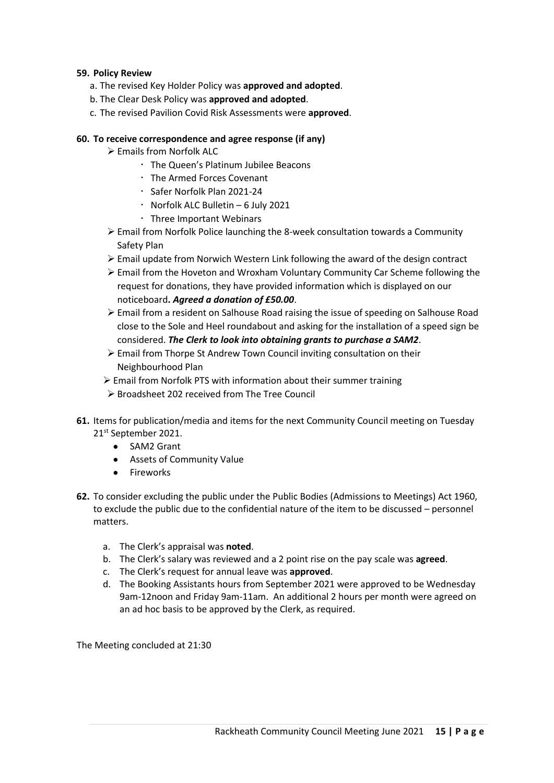# **59. Policy Review**

- a. The revised Key Holder Policy was **approved and adopted**.
- b. The Clear Desk Policy was **approved and adopted**.
- c. The revised Pavilion Covid Risk Assessments were **approved**.

### **60. To receive correspondence and agree response (if any)**

- ➢ Emails from Norfolk ALC
	- The Queen's Platinum Jubilee Beacons
	- The Armed Forces Covenant
	- Safer Norfolk Plan 2021-24
	- $\cdot$  Norfolk ALC Bulletin 6 July 2021
	- Three Important Webinars
- ➢ Email from Norfolk Police launching the 8-week consultation towards a Community Safety Plan
- ➢ Email update from Norwich Western Link following the award of the design contract
- ➢ Email from the Hoveton and Wroxham Voluntary Community Car Scheme following the request for donations, they have provided information which is displayed on our noticeboard**.** *Agreed a donation of £50.00*.
- ➢ Email from a resident on Salhouse Road raising the issue of speeding on Salhouse Road close to the Sole and Heel roundabout and asking for the installation of a speed sign be considered. *The Clerk to look into obtaining grants to purchase a SAM2*.
- ➢ Email from Thorpe St Andrew Town Council inviting consultation on their Neighbourhood Plan
- ➢ Email from Norfolk PTS with information about their summer training
- ➢ Broadsheet 202 received from The Tree Council
- **61.** Items for publication/media and items for the next Community Council meeting on Tuesday 21st September 2021.
	- SAM2 Grant
	- Assets of Community Value
	- Fireworks
- **62.** To consider excluding the public under the Public Bodies (Admissions to Meetings) Act 1960, to exclude the public due to the confidential nature of the item to be discussed – personnel matters.
	- a. The Clerk's appraisal was **noted**.
	- b. The Clerk's salary was reviewed and a 2 point rise on the pay scale was **agreed**.
	- c. The Clerk's request for annual leave was **approved**.
	- d. The Booking Assistants hours from September 2021 were approved to be Wednesday 9am-12noon and Friday 9am-11am. An additional 2 hours per month were agreed on an ad hoc basis to be approved by the Clerk, as required.

The Meeting concluded at 21:30